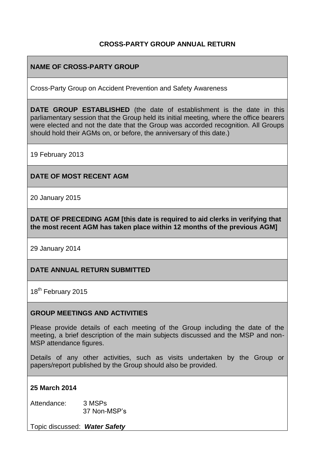# **CROSS-PARTY GROUP ANNUAL RETURN**

# **NAME OF CROSS-PARTY GROUP**

Cross-Party Group on Accident Prevention and Safety Awareness

**DATE GROUP ESTABLISHED** (the date of establishment is the date in this parliamentary session that the Group held its initial meeting, where the office bearers were elected and not the date that the Group was accorded recognition. All Groups should hold their AGMs on, or before, the anniversary of this date.)

19 February 2013

### **DATE OF MOST RECENT AGM**

20 January 2015

**DATE OF PRECEDING AGM [this date is required to aid clerks in verifying that the most recent AGM has taken place within 12 months of the previous AGM]**

29 January 2014

### **DATE ANNUAL RETURN SUBMITTED**

18<sup>th</sup> February 2015

#### **GROUP MEETINGS AND ACTIVITIES**

Please provide details of each meeting of the Group including the date of the meeting, a brief description of the main subjects discussed and the MSP and non-MSP attendance figures.

Details of any other activities, such as visits undertaken by the Group or papers/report published by the Group should also be provided.

#### **25 March 2014**

Attendance: 3 MSPs 37 Non-MSP's

Topic discussed: *Water Safety*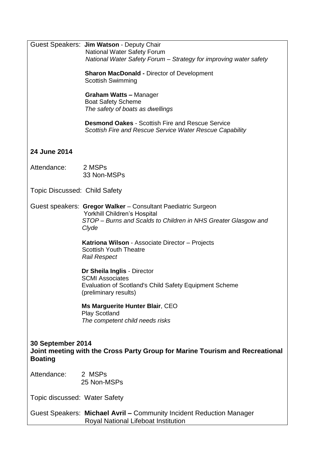|                                                                                                                     | Guest Speakers: Jim Watson - Deputy Chair<br><b>National Water Safety Forum</b><br>National Water Safety Forum - Strategy for improving water safety<br><b>Sharon MacDonald - Director of Development</b> |
|---------------------------------------------------------------------------------------------------------------------|-----------------------------------------------------------------------------------------------------------------------------------------------------------------------------------------------------------|
|                                                                                                                     | <b>Scottish Swimming</b><br><b>Graham Watts - Manager</b><br><b>Boat Safety Scheme</b><br>The safety of boats as dwellings                                                                                |
|                                                                                                                     | <b>Desmond Oakes - Scottish Fire and Rescue Service</b><br>Scottish Fire and Rescue Service Water Rescue Capability                                                                                       |
| 24 June 2014                                                                                                        |                                                                                                                                                                                                           |
| Attendance:                                                                                                         | 2 MSPs<br>33 Non-MSPs                                                                                                                                                                                     |
| Topic Discussed: Child Safety                                                                                       |                                                                                                                                                                                                           |
|                                                                                                                     | Guest speakers: Gregor Walker - Consultant Paediatric Surgeon<br>Yorkhill Children's Hospital<br>STOP - Burns and Scalds to Children in NHS Greater Glasgow and<br>Clyde                                  |
|                                                                                                                     | Katriona Wilson - Associate Director - Projects<br><b>Scottish Youth Theatre</b><br><b>Rail Respect</b>                                                                                                   |
|                                                                                                                     | Dr Sheila Inglis - Director<br><b>SCMI Associates</b><br><b>Evaluation of Scotland's Child Safety Equipment Scheme</b><br>(preliminary results)                                                           |
|                                                                                                                     | Ms Marguerite Hunter Blair, CEO<br><b>Play Scotland</b><br>The competent child needs risks                                                                                                                |
| 30 September 2014<br>Joint meeting with the Cross Party Group for Marine Tourism and Recreational<br><b>Boating</b> |                                                                                                                                                                                                           |
| Attendance:                                                                                                         | 2 MSPs<br>25 Non-MSPs                                                                                                                                                                                     |
| Topic discussed: Water Safety                                                                                       |                                                                                                                                                                                                           |
|                                                                                                                     | Guest Speakers: Michael Avril - Community Incident Reduction Manager<br>Royal National Lifeboat Institution                                                                                               |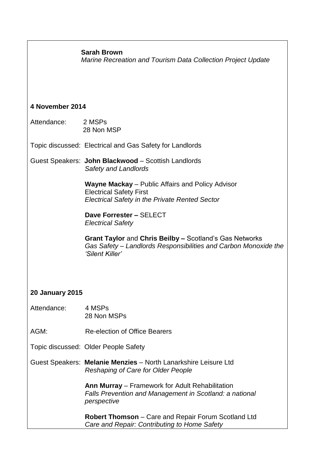#### **Sarah Brown**

*Marine Recreation and Tourism Data Collection Project Update*

#### **4 November 2014**

Attendance: 2 MSPs 28 Non MSP

Topic discussed: Electrical and Gas Safety for Landlords

Guest Speakers: **John Blackwood** – Scottish Landlords *Safety and Landlords*

> **Wayne Mackay** – Public Affairs and Policy Advisor Electrical Safety First *Electrical Safety in the Private Rented Sector*

 **Dave Forrester –** SELECT *Electrical Safety*

 **Grant Taylor** and **Chris Beilby –** Scotland's Gas Networks *Gas Safety – Landlords Responsibilities and Carbon Monoxide the 'Silent Killer'*

### **20 January 2015**

- Attendance: 4 MSPs 28 Non MSPs
- AGM: Re-election of Office Bearers
- Topic discussed: Older People Safety
- Guest Speakers: **Melanie Menzies** North Lanarkshire Leisure Ltd *Reshaping of Care for Older People*

 **Ann Murray** – Framework for Adult Rehabilitation *Falls Prevention and Management in Scotland: a national perspective*

 **Robert Thomson** – Care and Repair Forum Scotland Ltd *Care and Repair: Contributing to Home Safety*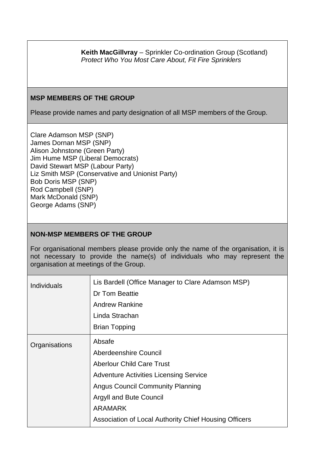**Keith MacGillvray** – Sprinkler Co-ordination Group (Scotland) *Protect Who You Most Care About, Fit Fire Sprinklers*

### **MSP MEMBERS OF THE GROUP**

Please provide names and party designation of all MSP members of the Group.

Clare Adamson MSP (SNP) James Dornan MSP (SNP) Alison Johnstone (Green Party) Jim Hume MSP (Liberal Democrats) David Stewart MSP (Labour Party) Liz Smith MSP (Conservative and Unionist Party) Bob Doris MSP (SNP) Rod Campbell (SNP) Mark McDonald (SNP) George Adams (SNP)

### **NON-MSP MEMBERS OF THE GROUP**

For organisational members please provide only the name of the organisation, it is not necessary to provide the name(s) of individuals who may represent the organisation at meetings of the Group.

| <b>Individuals</b> | Lis Bardell (Office Manager to Clare Adamson MSP)<br>Dr Tom Beattie<br><b>Andrew Rankine</b><br>Linda Strachan<br><b>Brian Topping</b>                                                                                                                                       |
|--------------------|------------------------------------------------------------------------------------------------------------------------------------------------------------------------------------------------------------------------------------------------------------------------------|
| Organisations      | Absafe<br>Aberdeenshire Council<br><b>Aberlour Child Care Trust</b><br><b>Adventure Activities Licensing Service</b><br><b>Angus Council Community Planning</b><br><b>Argyll and Bute Council</b><br><b>ARAMARK</b><br>Association of Local Authority Chief Housing Officers |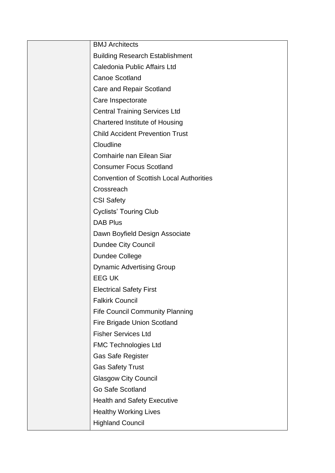| <b>BMJ</b> Architects                           |
|-------------------------------------------------|
| <b>Building Research Establishment</b>          |
| Caledonia Public Affairs Ltd                    |
| <b>Canoe Scotland</b>                           |
| Care and Repair Scotland                        |
| Care Inspectorate                               |
| <b>Central Training Services Ltd</b>            |
| <b>Chartered Institute of Housing</b>           |
| <b>Child Accident Prevention Trust</b>          |
| Cloudline                                       |
| Comhairle nan Eilean Siar                       |
| <b>Consumer Focus Scotland</b>                  |
| <b>Convention of Scottish Local Authorities</b> |
| Crossreach                                      |
| <b>CSI Safety</b>                               |
| <b>Cyclists' Touring Club</b>                   |
| <b>DAB Plus</b>                                 |
| Dawn Boyfield Design Associate                  |
| Dundee City Council                             |
| Dundee College                                  |
| <b>Dynamic Advertising Group</b>                |
| <b>EEG UK</b>                                   |
| <b>Electrical Safety First</b>                  |
| <b>Falkirk Council</b>                          |
| <b>Fife Council Community Planning</b>          |
| Fire Brigade Union Scotland                     |
| <b>Fisher Services Ltd</b>                      |
| <b>FMC Technologies Ltd</b>                     |
| <b>Gas Safe Register</b>                        |
| <b>Gas Safety Trust</b>                         |
| <b>Glasgow City Council</b>                     |
| Go Safe Scotland                                |
| <b>Health and Safety Executive</b>              |
| <b>Healthy Working Lives</b>                    |
| <b>Highland Council</b>                         |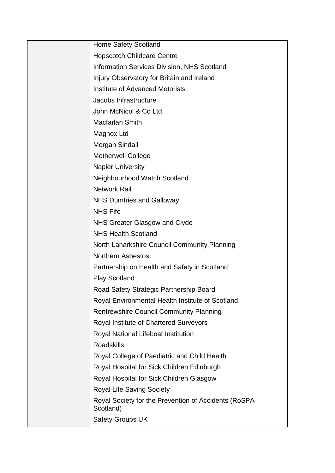| <b>Home Safety Scotland</b>                                       |
|-------------------------------------------------------------------|
| <b>Hopscotch Childcare Centre</b>                                 |
| <b>Information Services Division, NHS Scotland</b>                |
| Injury Observatory for Britain and Ireland                        |
| <b>Institute of Advanced Motorists</b>                            |
| Jacobs Infrastructure                                             |
| John McNicol & Co Ltd                                             |
| Macfarlan Smith                                                   |
| Magnox Ltd                                                        |
| Morgan Sindall                                                    |
| Motherwell College                                                |
| <b>Napier University</b>                                          |
| Neighbourhood Watch Scotland                                      |
| <b>Network Rail</b>                                               |
| <b>NHS Dumfries and Galloway</b>                                  |
| <b>NHS Fife</b>                                                   |
| NHS Greater Glasgow and Clyde                                     |
| <b>NHS Health Scotland</b>                                        |
| North Lanarkshire Council Community Planning                      |
| <b>Northern Asbestos</b>                                          |
| Partnership on Health and Safety in Scotland                      |
| <b>Play Scotland</b>                                              |
| Road Safety Strategic Partnership Board                           |
| Royal Environmental Health Institute of Scotland                  |
| <b>Renfrewshire Council Community Planning</b>                    |
| Royal Institute of Chartered Surveyors                            |
| Royal National Lifeboat Institution                               |
| <b>Roadskills</b>                                                 |
| Royal College of Paediatric and Child Health                      |
| Royal Hospital for Sick Children Edinburgh                        |
| Royal Hospital for Sick Children Glasgow                          |
| <b>Royal Life Saving Society</b>                                  |
| Royal Society for the Prevention of Accidents (RoSPA<br>Scotland) |
| <b>Safety Groups UK</b>                                           |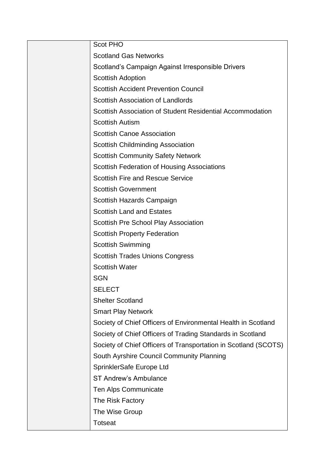| <b>Scot PHO</b>                                                 |
|-----------------------------------------------------------------|
| <b>Scotland Gas Networks</b>                                    |
| Scotland's Campaign Against Irresponsible Drivers               |
| <b>Scottish Adoption</b>                                        |
| <b>Scottish Accident Prevention Council</b>                     |
| <b>Scottish Association of Landlords</b>                        |
| Scottish Association of Student Residential Accommodation       |
| <b>Scottish Autism</b>                                          |
| <b>Scottish Canoe Association</b>                               |
| <b>Scottish Childminding Association</b>                        |
| <b>Scottish Community Safety Network</b>                        |
| <b>Scottish Federation of Housing Associations</b>              |
| <b>Scottish Fire and Rescue Service</b>                         |
| <b>Scottish Government</b>                                      |
| Scottish Hazards Campaign                                       |
| <b>Scottish Land and Estates</b>                                |
| Scottish Pre School Play Association                            |
| <b>Scottish Property Federation</b>                             |
| <b>Scottish Swimming</b>                                        |
| <b>Scottish Trades Unions Congress</b>                          |
| <b>Scottish Water</b>                                           |
| <b>SGN</b>                                                      |
| <b>SELECT</b>                                                   |
| <b>Shelter Scotland</b>                                         |
| <b>Smart Play Network</b>                                       |
| Society of Chief Officers of Environmental Health in Scotland   |
| Society of Chief Officers of Trading Standards in Scotland      |
| Society of Chief Officers of Transportation in Scotland (SCOTS) |
| South Ayrshire Council Community Planning                       |
| SprinklerSafe Europe Ltd                                        |
| <b>ST Andrew's Ambulance</b>                                    |
| Ten Alps Communicate                                            |
| The Risk Factory                                                |
| The Wise Group                                                  |
| <b>Totseat</b>                                                  |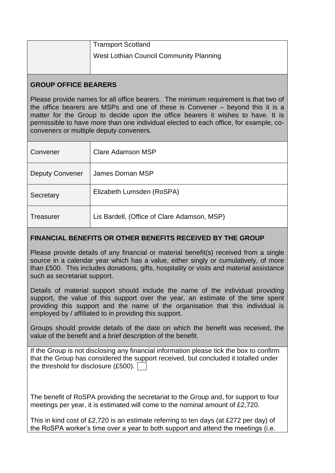| <b>Transport Scotland</b>               |
|-----------------------------------------|
| West Lothian Council Community Planning |
|                                         |

# **GROUP OFFICE BEARERS**

Please provide names for all office bearers. The minimum requirement is that two of the office bearers are MSPs and one of these is Convener – beyond this it is a matter for the Group to decide upon the office bearers it wishes to have. It is permissible to have more than one individual elected to each office, for example, coconveners or multiple deputy conveners.

| Convener               | Clare Adamson MSP                           |
|------------------------|---------------------------------------------|
| <b>Deputy Convener</b> | James Dornan MSP                            |
|                        |                                             |
| Secretary              | Elizabeth Lumsden (RoSPA)                   |
| Treasurer              | Lis Bardell, (Office of Clare Adamson, MSP) |

# **FINANCIAL BENEFITS OR OTHER BENEFITS RECEIVED BY THE GROUP**

Please provide details of any financial or material benefit(s) received from a single source in a calendar year which has a value, either singly or cumulatively, of more than £500. This includes donations, gifts, hospitality or visits and material assistance such as secretariat support.

Details of material support should include the name of the individual providing support, the value of this support over the year, an estimate of the time spent providing this support and the name of the organisation that this individual is employed by / affiliated to in providing this support.

Groups should provide details of the date on which the benefit was received, the value of the benefit and a brief description of the benefit.

If the Group is not disclosing any financial information please tick the box to confirm that the Group has considered the support received, but concluded it totalled under the threshold for disclosure (£500).

The benefit of RoSPA providing the secretariat to the Group and, for support to four meetings per year, it is estimated will come to the nominal amount of £2,720.

This in kind cost of £2,720 is an estimate referring to ten days (at £272 per day) of the RoSPA worker's time over a year to both support and attend the meetings (i.e.